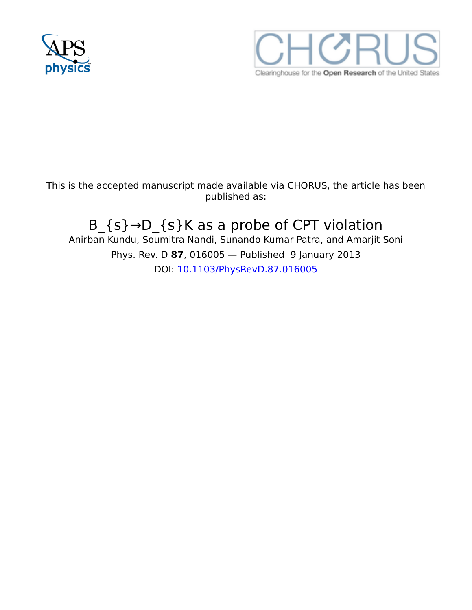



This is the accepted manuscript made available via CHORUS, the article has been published as:

# B\_{s}→D\_{s}K as a probe of CPT violation

Anirban Kundu, Soumitra Nandi, Sunando Kumar Patra, and Amarjit Soni Phys. Rev. D **87**, 016005 — Published 9 January 2013 DOI: [10.1103/PhysRevD.87.016005](http://dx.doi.org/10.1103/PhysRevD.87.016005)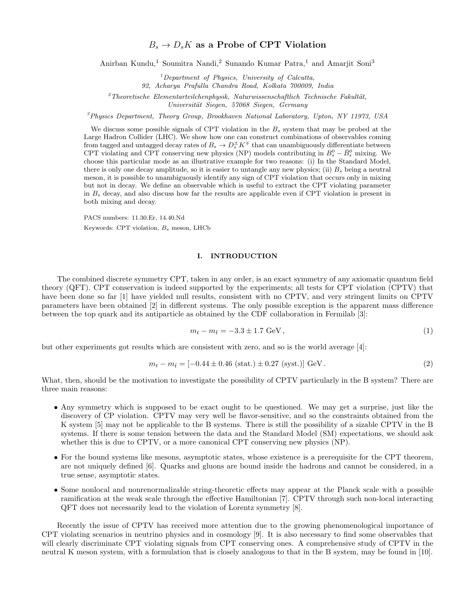Anirban Kundu,<sup>1</sup> Soumitra Nandi,<sup>2</sup> Sunando Kumar Patra,<sup>1</sup> and Amarjit Soni<sup>3</sup>

 $<sup>1</sup> Department of Physics, University of Calculus,$ </sup>

92, Acharya Prafulla Chandra Road, Kolkata 700009, India

 $2<sup>2</sup> Theoretische Elementarteilchenphysik, Naturwissenschaftlich Technische Fakultät,$ Universität Siegen, 57068 Siegen, Germany

 $\beta$ Physics Department, Theory Group, Brookhaven National Laboratory, Upton, NY 11973, USA

We discuss some possible signals of CPT violation in the  $B<sub>s</sub>$  system that may be probed at the Large Hadron Collider (LHC). We show how one can construct combinations of observables coming from tagged and untagged decay rates of  $B_s \to D_s^{\pm} K^{\mp}$  that can unambiguously differentiate between CPT violating and CPT conserving new physics (NP) models contributing in  $B_s^0 - \bar{B}_s^0$  mixing. We choose this particular mode as an illustrative example for two reasons: (i) In the Standard Model, there is only one decay amplitude, so it is easier to untangle any new physics; (ii)  $B_s$  being a neutral meson, it is possible to unambiguously identify any sign of CPT violation that occurs only in mixing but not in decay. We define an observable which is useful to extract the CPT violating parameter in  $B_s$  decay, and also discuss how far the results are applicable even if CPT violation is present in both mixing and decay.

PACS numbers: 11.30.Er, 14.40.Nd Keywords: CPT violation,  $B_s$  meson, LHCb

#### I. INTRODUCTION

The combined discrete symmetry CPT, taken in any order, is an exact symmetry of any axiomatic quantum field theory (QFT). CPT conservation is indeed supported by the experiments; all tests for CPT violation (CPTV) that have been done so far [1] have yielded null results, consistent with no CPTV, and very stringent limits on CPTV parameters have been obtained [2] in different systems. The only possible exception is the apparent mass difference between the top quark and its antiparticle as obtained by the CDF collaboration in Fermilab [3]:

$$
m_t - m_{\bar{t}} = -3.3 \pm 1.7 \text{ GeV},\tag{1}
$$

but other experiments got results which are consistent with zero, and so is the world average [4]:

$$
m_t - m_{\bar{t}} = [-0.44 \pm 0.46 \text{ (stat.)} \pm 0.27 \text{ (syst.)}] \text{ GeV}. \tag{2}
$$

What, then, should be the motivation to investigate the possibility of CPTV particularly in the B system? There are three main reasons:

- Any symmetry which is supposed to be exact ought to be questioned. We may get a surprise, just like the discovery of CP violation. CPTV may very well be flavor-sensitive, and so the constraints obtained from the K system [5] may not be applicable to the B systems. There is still the possibility of a sizable CPTV in the B systems. If there is some tension between the data and the Standard Model (SM) expectations, we should ask whether this is due to CPTV, or a more canonical CPT conserving new physics (NP).
- For the bound systems like mesons, asymptotic states, whose existence is a prerequisite for the CPT theorem, are not uniquely defined [6]. Quarks and gluons are bound inside the hadrons and cannot be considered, in a true sense, asymptotic states.
- Some nonlocal and nonrenormalizable string-theoretic effects may appear at the Planck scale with a possible ramification at the weak scale through the effective Hamiltonian [7]. CPTV through such non-local interacting QFT does not necessarily lead to the violation of Lorentz symmetry [8].

Recently the issue of CPTV has received more attention due to the growing phenomenological importance of CPT violating scenarios in neutrino physics and in cosmology [9]. It is also necessary to find some observables that will clearly discriminate CPT violating signals from CPT conserving ones. A comprehensive study of CPTV in the neutral K meson system, with a formulation that is closely analogous to that in the B system, may be found in [10].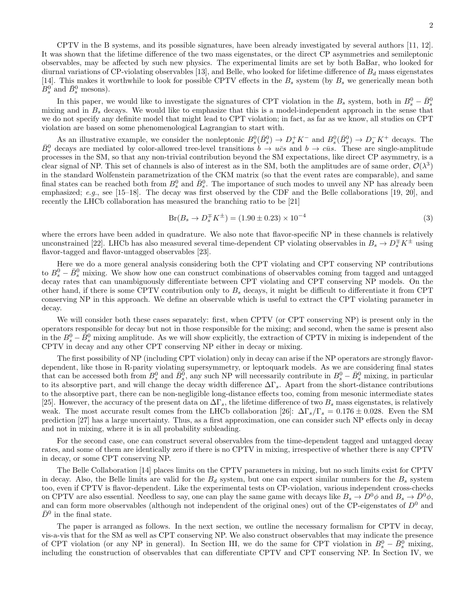In this paper, we would like to investigate the signatures of CPT violation in the  $B_s$  system, both in  $B_s^0 - \bar{B}_s^0$ mixing and in  $B_s$  decays. We would like to emphasize that this is a model-independent approach in the sense that we do not specify any definite model that might lead to CPT violation; in fact, as far as we know, all studies on CPT violation are based on some phenomenological Lagrangian to start with.

As an illustrative example, we consider the nonleptonic  $B_s^0(\bar{B}_s^0) \to D_s^+ K^-$  and  $B_s^0(\bar{B}_s^0) \to D_s^- K^+$  decays. The  $\bar{B}_{s}^{0}$  decays are mediated by color-allowed tree-level transitions  $b \to u\bar{c}s$  and  $b \to c\bar{u}s$ . These are single-amplitude processes in the SM, so that any non-trivial contribution beyond the SM expectations, like direct CP asymmetry, is a clear signal of NP. This set of channels is also of interest as in the SM, both the amplitudes are of same order,  $\mathcal{O}(\lambda^3)$ in the standard Wolfenstein parametrization of the CKM matrix (so that the event rates are comparable), and same final states can be reached both from  $B_s^0$  and  $\bar{B}_s^0$ . The importance of such modes to unveil any NP has already been emphasized; e.g., see [15–18]. The decay was first observed by the CDF and the Belle collaborations [19, 20], and recently the LHCb collaboration has measured the branching ratio to be [21]

$$
Br(B_s \to D_s^{\mp} K^{\pm}) = (1.90 \pm 0.23) \times 10^{-4}
$$
\n(3)

where the errors have been added in quadrature. We also note that flavor-specific NP in these channels is relatively unconstrained [22]. LHCb has also measured several time-dependent CP violating observables in  $B_s \to D_s^{\pm} K^{\pm}$  using flavor-tagged and flavor-untagged observables [23].

Here we do a more general analysis considering both the CPT violating and CPT conserving NP contributions to  $B_s^0 - \bar{B}_s^0$  mixing. We show how one can construct combinations of observables coming from tagged and untagged decay rates that can unambiguously differentiate between CPT violating and CPT conserving NP models. On the other hand, if there is some CPTV contribution only to  $B_s$  decays, it might be difficult to differentiate it from CPT conserving NP in this approach. We define an observable which is useful to extract the CPT violating parameter in decay.

We will consider both these cases separately: first, when CPTV (or CPT conserving NP) is present only in the operators responsible for decay but not in those responsible for the mixing; and second, when the same is present also in the  $B_s^0 - \bar{B}_s^0$  mixing amplitude. As we will show explicitly, the extraction of CPTV in mixing is independent of the CPTV in decay and any other CPT conserving NP either in decay or mixing.

The first possibility of NP (including CPT violation) only in decay can arise if the NP operators are strongly flavordependent, like those in R-parity violating supersymmetry, or leptoquark models. As we are considering final states that can be accessed both from  $B_s^0$  and  $\bar{B}_s^0$ , any such NP will necessarily contribute in  $B_s^0 - \bar{B}_s^0$  mixing, in particular to its absorptive part, and will change the decay width difference  $\Delta\Gamma_s$ . Apart from the short-distance contributions to the absorptive part, there can be non-negligible long-distance effects too, coming from mesonic intermediate states [25]. However, the accuracy of the present data on  $\Delta\Gamma_s$ , the lifetime difference of two  $B_s$  mass eigenstates, is relatively weak. The most accurate result comes from the LHCb collaboration [26]:  $\Delta\Gamma_s/\Gamma_s = 0.176 \pm 0.028$ . Even the SM prediction [27] has a large uncertainty. Thus, as a first approximation, one can consider such NP effects only in decay and not in mixing, where it is in all probability subleading.

For the second case, one can construct several observables from the time-dependent tagged and untagged decay rates, and some of them are identically zero if there is no CPTV in mixing, irrespective of whether there is any CPTV in decay, or some CPT conserving NP.

The Belle Collaboration [14] places limits on the CPTV parameters in mixing, but no such limits exist for CPTV in decay. Also, the Belle limits are valid for the  $B_d$  system, but one can expect similar numbers for the  $B_s$  system too, even if CPTV is flavor-dependent. Like the experimental tests on CP-violation, various independent cross-checks on CPTV are also essential. Needless to say, one can play the same game with decays like  $B_s \to D^0 \phi$  and  $B_s \to \bar{D}^0 \phi$ , and can form more observables (although not independent of the original ones) out of the CP-eigenstates of  $D^0$  and  $\bar{D}^0$  in the final state.

The paper is arranged as follows. In the next section, we outline the necessary formalism for CPTV in decay, vis-a-vis that for the SM as well as CPT conserving NP. We also construct observables that may indicate the presence of CPT violation (or any NP in general). In Section III, we do the same for CPT violation in  $B_s^0 - \bar{B}_s^0$  mixing, including the construction of observables that can differentiate CPTV and CPT conserving NP. In Section IV, we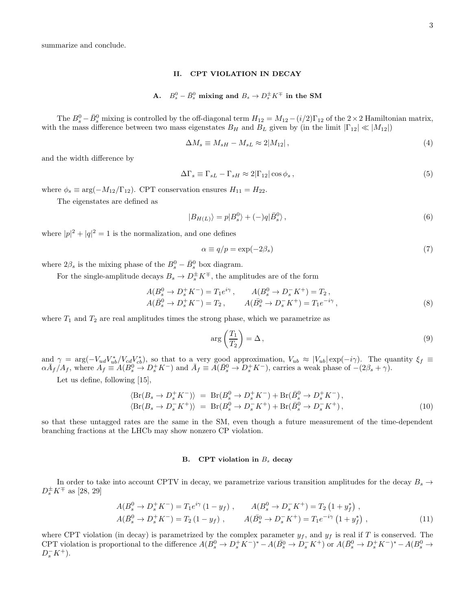3

summarize and conclude.

## II. CPT VIOLATION IN DECAY

# A.  $B_s^0 - \bar{B}_s^0$  mixing and  $B_s \to D_s^{\pm} K^{\mp}$  in the SM

The  $B_s^0 - \bar{B}_s^0$  mixing is controlled by the off-diagonal term  $H_{12} = M_{12} - (i/2)\Gamma_{12}$  of the  $2 \times 2$  Hamiltonian matrix, with the mass difference between two mass eigenstates  $B_H$  and  $B_L$  given by (in the limit  $|\Gamma_{12}| \ll |M_{12}|$ )

$$
\Delta M_s \equiv M_{sH} - M_{sL} \approx 2|M_{12}|,\tag{4}
$$

and the width difference by

$$
\Delta\Gamma_s \equiv \Gamma_{sL} - \Gamma_{sH} \approx 2|\Gamma_{12}| \cos\phi_s \,,\tag{5}
$$

where  $\phi_s \equiv \arg(-M_{12}/\Gamma_{12})$ . CPT conservation ensures  $H_{11} = H_{22}$ .

The eigenstates are defined as

$$
|B_{H(L)}\rangle = p|B_s^0\rangle + (-)q|\bar{B}_s^0\rangle\,,\tag{6}
$$

where  $|p|^2 + |q|^2 = 1$  is the normalization, and one defines

$$
\alpha \equiv q/p = \exp(-2\beta_s) \tag{7}
$$

where  $2\beta_s$  is the mixing phase of the  $B_s^0 - \bar{B}_s^0$  box diagram.

For the single-amplitude decays  $B_s \to D_s^{\pm} K^{\mp}$ , the amplitudes are of the form

$$
A(B_s^0 \to D_s^+ K^-) = T_1 e^{i\gamma}, \qquad A(B_s^0 \to D_s^- K^+) = T_2 ,A(\bar{B}_s^0 \to D_s^+ K^-) = T_2 , \qquad A(\bar{B}_s^0 \to D_s^- K^+) = T_1 e^{-i\gamma},
$$
 (8)

where  $T_1$  and  $T_2$  are real amplitudes times the strong phase, which we parametrize as

$$
\arg\left(\frac{T_1}{T_2}\right) = \Delta\,,\tag{9}
$$

and  $\gamma = \arg(-V_{ud}V_{ub}^*/V_{cd}V_{cb}^*)$ , so that to a very good approximation,  $V_{ub} \approx |V_{ub}| \exp(-i\gamma)$ . The quantity  $\xi_f \equiv \overline{V}_{ub}$  $\alpha \bar{A}_f/A_f$ , where  $A_f \equiv A(B_s^0 \to D_s^+ K^-)$  and  $\bar{A}_f \equiv A(\bar{B}_s^0 \to D_s^+ K^-)$ , carries a weak phase of  $-(2\beta_s + \gamma)$ .

Let us define, following [15],

$$
\langle Br(B_s \to D_s^+ K^-) \rangle = Br(B_s^0 \to D_s^+ K^-) + Br(\bar{B}_s^0 \to D_s^+ K^-),
$$
  

$$
\langle Br(B_s \to D_s^- K^+) \rangle = Br(B_s^0 \to D_s^- K^+) + Br(\bar{B}_s^0 \to D_s^- K^+),
$$
 (10)

so that these untagged rates are the same in the SM, even though a future measurement of the time-dependent branching fractions at the LHCb may show nonzero CP violation.

#### B. CPT violation in  $B_s$  decay

In order to take into account CPTV in decay, we parametrize various transition amplitudes for the decay  $B_s \rightarrow$  $D_{s}^{\pm} K^{\mp}$  as [28, 29]

$$
A(B_s^0 \to D_s^+ K^-) = T_1 e^{i\gamma} (1 - y_f) , \qquad A(B_s^0 \to D_s^- K^+) = T_2 (1 + y_f^*) ,
$$
  

$$
A(\bar{B}_s^0 \to D_s^+ K^-) = T_2 (1 - y_f) , \qquad A(\bar{B}_s^0 \to D_s^- K^+) = T_1 e^{-i\gamma} (1 + y_f^*) ,
$$
 (11)

where CPT violation (in decay) is parametrized by the complex parameter  $y_f$ , and  $y_f$  is real if T is conserved. The CPT violation is proportional to the difference  $A(B_s^0 \to D_s^+ K^-)^* - A(\bar{B_s^0} \to D_s^- K^+)$  or  $A(\bar{B}_s^0 \to D_s^+ K^-)^* - A(B_s^0 \to D_s^- K^-)$  $D_s^-K^+$ ).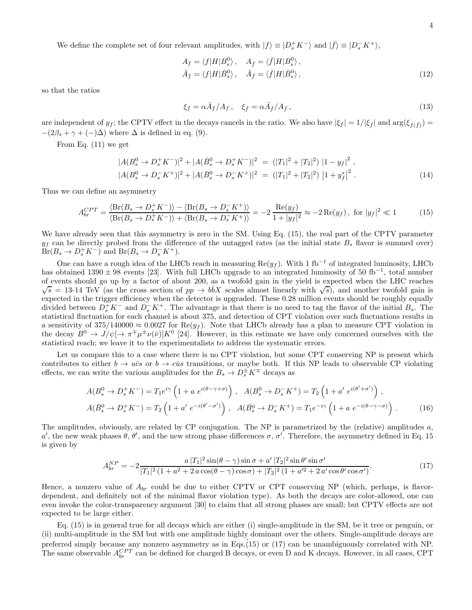We define the complete set of four relevant amplitudes, with  $|f\rangle \equiv |D_s^+ K^- \rangle$  and  $|\bar{f}\rangle \equiv |D_s^- K^+ \rangle$ ,

$$
A_f = \langle f|H|B_s^0\rangle, \quad A_{\bar{f}} = \langle \bar{f}|H|B_s^0\rangle,
$$
  

$$
\bar{A}_f = \langle f|H|\bar{B}_s^0\rangle, \quad \bar{A}_{\bar{f}} = \langle \bar{f}|H|\bar{B}_s^0\rangle,
$$
 (12)

so that the ratios

$$
\xi_f = \alpha \bar{A}_f / A_f \,, \quad \xi_{\bar{f}} = \alpha \bar{A}_{\bar{f}} / A_{\bar{f}} \,, \tag{13}
$$

are independent of  $y_f$ ; the CPTV effect in the decays cancels in the ratio. We also have  $|\xi_f| = 1/|\xi_{\bar{f}}|$  and  $\arg(\xi_{f(\bar{f})}) =$  $-(2\beta_s + \gamma + (-)\Delta)$  where  $\Delta$  is defined in eq. (9).

From Eq. (11) we get

$$
|A(B_s^0 \to D_s^+ K^-)|^2 + |A(\bar{B}_s^0 \to D_s^+ K^-)|^2 = (|T_1|^2 + |T_2|^2) |1 - y_f|^2,
$$
  

$$
|A(B_s^0 \to D_s^- K^+)|^2 + |A(\bar{B}_s^0 \to D_s^- K^+)|^2 = (|T_1|^2 + |T_2|^2) |1 + y_f^*|^2.
$$
 (14)

Thus we can define an asymmetry

$$
A_{br}^{CPT} = \frac{\langle \text{Br}(B_s \to D_s^+ K^-) \rangle - \langle \text{Br}(B_s \to D_s^- K^+) \rangle}{\langle \text{Br}(B_s \to D_s^+ K^-) \rangle + \langle \text{Br}(B_s \to D_s^- K^+) \rangle} = -2 \frac{\text{Re}(y_f)}{1 + |y_f|^2} \approx -2 \text{Re}(y_f), \text{ for } |y_f|^2 \ll 1
$$
 (15)

We have already seen that this asymmetry is zero in the SM. Using Eq. (15), the real part of the CPTV parameter  $y_f$  can be directly probed from the difference of the untagged rates (as the initial state  $B_s$  flavor is summed over)  $Br(B_s \to D_s^+ K^-)$  and  $Br(B_s \to D_s^- K^+).$ 

One can have a rough idea of the LHCb reach in measuring  $Re(y_f)$ . With 1 fb<sup>-1</sup> of integrated luminosity, LHCb has obtained  $1390 \pm 98$  events [23]. With full LHCb upgrade to an integrated luminosity of 50 fb<sup>-1</sup>, total number of events should go up by a factor of about 200, as a twofold gain in the yield is expected when the LHC reaches  $\sqrt{s} = 13.14$  TeV (as the cross section of  $pp \to b\bar{b}X$  scales almost linearly with  $\sqrt{s}$ ), and another twofold gain is expected in the trigger efficiency when the detector is upgraded. These 0.28 million events should be roughly equally divided between  $D_s^+ K^-$  and  $D_s^- K^+$ . The advantage is that there is no need to tag the flavor of the initial  $B_s$ . The statistical fluctuation for each channel is about 375, and detection of CPT violation over such fluctuations results in a sensitivity of 375/140000  $\approx 0.0027$  for Re( $y_f$ ). Note that LHCb already has a plan to measure CPT violation in the decay  $B^0 \to J/\psi[\to \pi^{\mp} \mu^{\pm} \nu(\bar{\nu})]K^0$  [24]. However, in this estimate we have only concerned ourselves with the statistical reach; we leave it to the experimentalists to address the systematic errors.

Let us compare this to a case where there is no CPT violation, but some CPT conserving NP is present which contributes to either  $b \to u\bar{c}s$  or  $b \to c\bar{u}s$  transitions, or maybe both. If this NP leads to observable CP violating effects, we can write the various amplitudes for the  $B_s \to D_s^{\pm} K^{\mp}$  decays as

$$
A(B_s^0 \to D_s^+ K^-) = T_1 e^{i\gamma} \left( 1 + a e^{i(\theta - \gamma + \sigma)} \right) , \quad A(B_s^0 \to D_s^- K^+) = T_2 \left( 1 + a' e^{i(\theta' + \sigma')} \right) ,
$$
  

$$
A(\bar{B}_s^0 \to D_s^+ K^-) = T_2 \left( 1 + a' e^{-i(\theta' - \sigma')} \right) , \quad A(\bar{B}_s^0 \to D_s^- K^+) = T_1 e^{-i\gamma} \left( 1 + a e^{-i(\theta - \gamma - \sigma)} \right) .
$$
 (16)

The amplitudes, obviously, are related by CP conjugation. The NP is parametrized by the (relative) amplitudes a, a', the new weak phases  $\theta$ ,  $\theta'$ , and the new strong phase differences  $\sigma$ ,  $\sigma'$ . Therefore, the asymmetry defined in Eq. 15 is given by

$$
A_{br}^{NP} = -2 \frac{a |T_1|^2 \sin(\theta - \gamma) \sin \sigma + a' |T_2|^2 \sin \theta' \sin \sigma'}{|T_1|^2 (1 + a^2 + 2 a \cos(\theta - \gamma) \cos \sigma) + |T_2|^2 (1 + a'^2 + 2 a' \cos \theta' \cos \sigma')}.
$$
(17)

Hence, a nonzero value of  $A_{br}$  could be due to either CPTV or CPT conserving NP (which, perhaps, is flavordependent, and definitely not of the minimal flavor violation type). As both the decays are color-allowed, one can even invoke the color-transparency argument [30] to claim that all strong phases are small; but CPTV effects are not expected to be large either.

Eq. (15) is in general true for all decays which are either (i) single-amplitude in the SM, be it tree or penguin, or (ii) multi-amplitude in the SM but with one amplitude highly dominant over the others. Single-amplitude decays are preferred simply because any nonzero asymmetry as in Eqs. $(15)$  or  $(17)$  can be unambiguously correlated with NP. The same observable  $A_{br}^{CPT}$  can be defined for charged B decays, or even D and K decays. However, in all cases, CPT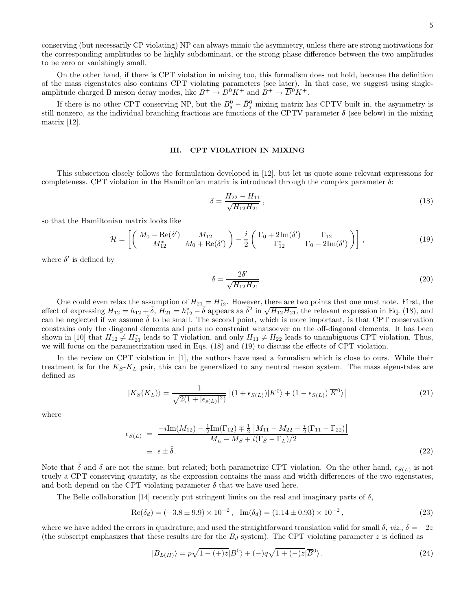conserving (but necessarily CP violating) NP can always mimic the asymmetry, unless there are strong motivations for the corresponding amplitudes to be highly subdominant, or the strong phase difference between the two amplitudes to be zero or vanishingly small.

On the other hand, if there is CPT violation in mixing too, this formalism does not hold, because the definition of the mass eigenstates also contains CPT violating parameters (see later). In that case, we suggest using singleamplitude charged B meson decay modes, like  $B^+ \to D^0 K^+$  and  $B^+ \to \overline{D}{}^0 K^+$ .

If there is no other CPT conserving NP, but the  $B_s^0 - \bar{B}_s^0$  mixing matrix has CPTV built in, the asymmetry is still nonzero, as the individual branching fractions are functions of the CPTV parameter  $\delta$  (see below) in the mixing matrix [12].

#### III. CPT VIOLATION IN MIXING

This subsection closely follows the formulation developed in [12], but let us quote some relevant expressions for completeness. CPT violation in the Hamiltonian matrix is introduced through the complex parameter  $\delta$ :

$$
\delta = \frac{H_{22} - H_{11}}{\sqrt{H_{12} H_{21}}},\tag{18}
$$

so that the Hamiltonian matrix looks like

$$
\mathcal{H} = \left[ \left( \begin{array}{cc} M_0 - \text{Re}(\delta') & M_{12} \\ M_{12}^* & M_0 + \text{Re}(\delta') \end{array} \right) - \frac{i}{2} \left( \begin{array}{cc} \Gamma_0 + 2\text{Im}(\delta') & \Gamma_{12} \\ \Gamma_{12}^* & \Gamma_0 - 2\text{Im}(\delta') \end{array} \right) \right],\tag{19}
$$

where  $\delta'$  is defined by

$$
\delta = \frac{2\delta'}{\sqrt{H_{12}H_{21}}}.
$$
\n(20)

One could even relax the assumption of  $H_{21} = H_{12}^*$ . However, there are two points that one must note. First, the effect of expressing  $H_{12} = h_{12} + \frac{1}{6}$ ,  $H_{21} = h_{12}^* - \frac{1}{6}$  appears as  $\delta^2$  in  $\sqrt{H_{12}H_{21}}$ , the relevant expression in Eq. (18), and can be neglected if we assume  $\bar{\delta}$  to be small. The second point, which is more important, is that CPT conservation constrains only the diagonal elements and puts no constraint whatsoever on the off-diagonal elements. It has been shown in [10] that  $H_{12} \neq H_{21}^*$  leads to T violation, and only  $H_{11} \neq H_{22}$  leads to unambiguous CPT violation. Thus, we will focus on the parametrization used in Eqs. (18) and (19) to discuss the effects of CPT violation.

In the review on CPT violation in [1], the authors have used a formalism which is close to ours. While their treatment is for the  $K_S-K_L$  pair, this can be generalized to any neutral meson system. The mass eigenstates are defined as

$$
|K_S(K_L)\rangle = \frac{1}{\sqrt{2(1+|\epsilon_{s(L)}|^2)}} \left[ (1+\epsilon_{S(L)})|K^0\rangle + (1-\epsilon_{S(L)})|\overline{K}^0\rangle \right] \tag{21}
$$

where

$$
\epsilon_{S(L)} = \frac{-i \text{Im}(M_{12}) - \frac{1}{2} \text{Im}(\Gamma_{12}) \mp \frac{1}{2} [M_{11} - M_{22} - \frac{i}{2} (\Gamma_{11} - \Gamma_{22})]}{M_L - M_S + i (\Gamma_S - \Gamma_L)/2}
$$
  
\n
$$
\equiv \epsilon \pm \tilde{\delta}.
$$
\n(22)

Note that  $\tilde{\delta}$  and  $\delta$  are not the same, but related; both parametrize CPT violation. On the other hand,  $\epsilon_{S(L)}$  is not truely a CPT conserving quantity, as the expression contains the mass and width differences of the two eigenstates, and both depend on the CPT violating parameter  $\delta$  that we have used here.

The Belle collaboration [14] recently put stringent limits on the real and imaginary parts of  $\delta$ ,

$$
Re(\delta_d) = (-3.8 \pm 9.9) \times 10^{-2}, \quad Im(\delta_d) = (1.14 \pm 0.93) \times 10^{-2}, \tag{23}
$$

where we have added the errors in quadrature, and used the straightforward translation valid for small  $\delta$ , *viz.*,  $\delta = -2z$ (the subscript emphasizes that these results are for the  $B_d$  system). The CPT violating parameter z is defined as

$$
|B_{L(H)}\rangle = p\sqrt{1 - (+)z}|B^0\rangle + (-)q\sqrt{1 + (-)z}|B^0\rangle. \tag{24}
$$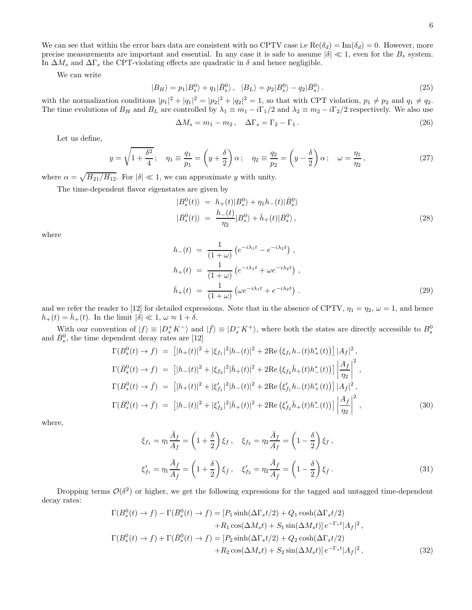We can see that within the error bars data are consistent with no CPTV case i.e  $\text{Re}(\delta_d) = \text{Im}(\delta_d) = 0$ . However, more precise measurements are important and essential. In any case it is safe to assume  $|\delta| \ll 1$ , even for the  $B_s$  system. In  $\Delta M_s$  and  $\Delta \Gamma_s$  the CPT-violating effects are quadratic in  $\delta$  and hence negligible.

We can write

$$
|B_H\rangle = p_1|B_s^0\rangle + q_1|\bar{B}_s^0\rangle, \quad |B_L\rangle = p_2|B_s^0\rangle - q_2|\bar{B}_s^0\rangle. \tag{25}
$$

with the normalization conditions  $|p_1|^2 + |q_1|^2 = |p_2|^2 + |q_2|^2 = 1$ , so that with CPT violation,  $p_1 \neq p_2$  and  $q_1 \neq q_2$ . The time evolutions of  $B_H$  and  $B_L$  are controlled by  $\lambda_1 \equiv m_1 - i\Gamma_1/2$  and  $\lambda_2 \equiv m_2 - i\Gamma_2/2$  respectively. We also use

$$
\Delta M_s = m_1 - m_2, \quad \Delta \Gamma_s = \Gamma_2 - \Gamma_1. \tag{26}
$$

Let us define,

$$
y = \sqrt{1 + \frac{\delta^2}{4}}; \quad \eta_1 \equiv \frac{q_1}{p_1} = \left(y + \frac{\delta}{2}\right)\alpha; \quad \eta_2 \equiv \frac{q_2}{p_2} = \left(y - \frac{\delta}{2}\right)\alpha; \quad \omega = \frac{\eta_1}{\eta_2},\tag{27}
$$

where  $\alpha = \sqrt{H_{21}/H_{12}}$ . For  $|\delta| \ll 1$ , we can approximate y with unity.

The time-dependent flavor eigenstates are given by

$$
|B_s^0(t)\rangle = h_+(t)|B_s^0\rangle + \eta_1 h_-(t)|\bar{B}_s^0\rangle
$$
  

$$
|\bar{B}_s^0(t)\rangle = \frac{h_-(t)}{\eta_2}|B_s^0\rangle + \bar{h}_+(t)|\bar{B}_s^0\rangle,
$$
 (28)

where

$$
h_{-}(t) = \frac{1}{(1+\omega)} \left( e^{-i\lambda_1 t} - e^{-i\lambda_2 t} \right),
$$
  
\n
$$
h_{+}(t) = \frac{1}{(1+\omega)} \left( e^{-i\lambda_1 t} + \omega e^{-i\lambda_2 t} \right),
$$
  
\n
$$
\bar{h}_{+}(t) = \frac{1}{(1+\omega)} \left( \omega e^{-i\lambda_1 t} + e^{-i\lambda_2 t} \right).
$$
\n(29)

and we refer the reader to [12] for detailed expressions. Note that in the absence of CPTV,  $\eta_1 = \eta_2$ ,  $\omega = 1$ , and hence  $h_+(t) = \bar{h}_+(t)$ . In the limit  $|\delta| \ll 1, \omega \approx 1 + \delta$ .

With our convention of  $|f\rangle \equiv |D_s^+ K^- \rangle$  and  $|\bar{f}\rangle \equiv |D_s^- K^+ \rangle$ , where both the states are directly accessible to  $B_s^0$ and  $\bar{B}_s^0$ , the time dependent decay rates are [12]

$$
\Gamma(B_s^0(t) \to f) = \left[ |h_+(t)|^2 + |\xi_{f_1}|^2 |h_-(t)|^2 + 2\text{Re}(\xi_{f_1}h_-(t)h_+^*(t)) \right] |A_f|^2,
$$
\n
$$
\Gamma(\bar{B}_s^0(t) \to f) = \left[ |h_-(t)|^2 + |\xi_{f_2}|^2 |\bar{h}_+(t)|^2 + 2\text{Re}(\xi_{f_2}h_+(t)h_-^*(t)) \right] \left| \frac{A_f}{\eta_2} \right|^2,
$$
\n
$$
\Gamma(B_s^0(t) \to \bar{f}) = \left[ |h_+(t)|^2 + |\xi_{f_1}'|^2 |h_-(t)|^2 + 2\text{Re}(\xi_{f_1}'h_-(t)h_+^*(t)) \right] |A_{\bar{f}}|^2,
$$
\n
$$
\Gamma(\bar{B}_s^0(t) \to \bar{f}) = \left[ |h_-(t)|^2 + |\xi_{f_2}'|^2 |\bar{h}_+(t)|^2 + 2\text{Re}(\xi_{f_2}'\bar{h}_+(t)h_-^*(t)) \right] \left| \frac{A_{\bar{f}}}{\eta_2} \right|^2,
$$
\n(30)

where,

$$
\xi_{f_1} = \eta_1 \frac{\bar{A}_f}{A_f} = \left(1 + \frac{\delta}{2}\right) \xi_f, \quad \xi_{f_2} = \eta_2 \frac{\bar{A}_f}{A_f} = \left(1 - \frac{\delta}{2}\right) \xi_f,
$$
  

$$
\xi'_{f_1} = \eta_1 \frac{\bar{A}_f}{A_{\bar{f}}} = \left(1 + \frac{\delta}{2}\right) \xi_{\bar{f}}, \quad \xi'_{f_2} = \eta_2 \frac{\bar{A}_{\bar{f}}}{A_{\bar{f}}} = \left(1 - \frac{\delta}{2}\right) \xi_{\bar{f}}.
$$
 (31)

Dropping terms  $\mathcal{O}(\delta^2)$  or higher, we get the following expressions for the tagged and untagged time-dependent decay rates:

$$
\Gamma(B_s^0(t) \to f) - \Gamma(\bar{B}_s^0(t) \to f) = [P_1 \sinh(\Delta\Gamma_s t/2) + Q_1 \cosh(\Delta\Gamma_s t/2) \n+ R_1 \cos(\Delta M_s t) + S_1 \sin(\Delta M_s t)] e^{-\Gamma_s t} |A_f|^2,
$$
\n
$$
\Gamma(B_s^0(t) \to f) + \Gamma(\bar{B}_s^0(t) \to f) = [P_2 \sinh(\Delta\Gamma_s t/2) + Q_2 \cosh(\Delta\Gamma_s t/2) \n+ R_2 \cos(\Delta M_s t) + S_2 \sin(\Delta M_s t)] e^{-\Gamma_s t} |A_f|^2,
$$
\n(32)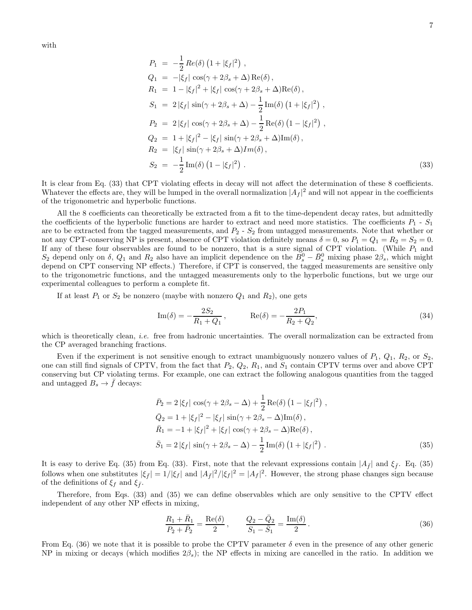with

$$
P_1 = -\frac{1}{2} Re(\delta) (1 + |\xi_f|^2) ,
$$
  
\n
$$
Q_1 = -|\xi_f| cos(\gamma + 2\beta_s + \Delta) Re(\delta) ,
$$
  
\n
$$
R_1 = 1 - |\xi_f|^2 + |\xi_f| cos(\gamma + 2\beta_s + \Delta) Re(\delta) ,
$$
  
\n
$$
S_1 = 2 |\xi_f| sin(\gamma + 2\beta_s + \Delta) - \frac{1}{2} Im(\delta) (1 + |\xi_f|^2) ,
$$
  
\n
$$
P_2 = 2 |\xi_f| cos(\gamma + 2\beta_s + \Delta) - \frac{1}{2} Re(\delta) (1 - |\xi_f|^2) ,
$$
  
\n
$$
Q_2 = 1 + |\xi_f|^2 - |\xi_f| sin(\gamma + 2\beta_s + \Delta) Im(\delta) ,
$$
  
\n
$$
R_2 = |\xi_f| sin(\gamma + 2\beta_s + \Delta) Im(\delta) ,
$$
  
\n
$$
S_2 = -\frac{1}{2} Im(\delta) (1 - |\xi_f|^2) .
$$
  
\n(33)

It is clear from Eq. (33) that CPT violating effects in decay will not affect the determination of these 8 coefficients. Whatever the effects are, they will be lumped in the overall normalization  $|A_f|^2$  and will not appear in the coefficients of the trigonometric and hyperbolic functions.

All the 8 coefficients can theoretically be extracted from a fit to the time-dependent decay rates, but admittedly the coefficients of the hyperbolic functions are harder to extract and need more statistics. The coefficients  $P_1$  -  $S_1$ are to be extracted from the tagged measurements, and  $P_2$  -  $S_2$  from untagged measurements. Note that whether or not any CPT-conserving NP is present, absence of CPT violation definitely means  $\delta = 0$ , so  $P_1 = Q_1 = R_2 = S_2 = 0$ . If any of these four observables are found to be nonzero, that is a sure signal of CPT violation. (While  $P_1$  and  $S_2$  depend only on  $\delta$ ,  $Q_1$  and  $R_2$  also have an implicit dependence on the  $\overline{B_s^0} - \overline{B_s^0}$  mixing phase  $2\beta_s$ , which might depend on CPT conserving NP effects.) Therefore, if CPT is conserved, the tagged measurements are sensitive only to the trigonometric functions, and the untagged measurements only to the hyperbolic functions, but we urge our experimental colleagues to perform a complete fit.

If at least  $P_1$  or  $S_2$  be nonzero (maybe with nonzero  $Q_1$  and  $R_2$ ), one gets

$$
\text{Im}(\delta) = -\frac{2S_2}{R_1 + Q_1}, \qquad \text{Re}(\delta) = -\frac{2P_1}{R_2 + Q_2}, \tag{34}
$$

which is theoretically clean, *i.e.* free from hadronic uncertainties. The overall normalization can be extracted from the CP averaged branching fractions.

Even if the experiment is not sensitive enough to extract unambiguously nonzero values of  $P_1$ ,  $Q_1$ ,  $R_2$ , or  $S_2$ , one can still find signals of CPTV, from the fact that  $P_2$ ,  $Q_2$ ,  $R_1$ , and  $S_1$  contain CPTV terms over and above CPT conserving but CP violating terms. For example, one can extract the following analogous quantities from the tagged and untagged  $B_s \to \bar{f}$  decays:

$$
\bar{P}_2 = 2 |\xi_f| \cos(\gamma + 2\beta_s - \Delta) + \frac{1}{2} \text{Re}(\delta) (1 - |\xi_f|^2) ,
$$
  
\n
$$
\bar{Q}_2 = 1 + |\xi_f|^2 - |\xi_f| \sin(\gamma + 2\beta_s - \Delta) \text{Im}(\delta) ,
$$
  
\n
$$
\bar{R}_1 = -1 + |\xi_f|^2 + |\xi_f| \cos(\gamma + 2\beta_s - \Delta) \text{Re}(\delta) ,
$$
  
\n
$$
\bar{S}_1 = 2 |\xi_f| \sin(\gamma + 2\beta_s - \Delta) - \frac{1}{2} \text{Im}(\delta) (1 + |\xi_f|^2) .
$$
\n(35)

It is easy to derive Eq. (35) from Eq. (33). First, note that the relevant expressions contain  $|A_{\bar{f}}|$  and  $\xi_{\bar{f}}$ . Eq. (35) follows when one substitutes  $|\xi_{\bar{f}}| = 1/|\xi_f|$  and  $|A_{\bar{f}}|^2/|\xi_f|^2 = |A_f|^2$ . However, the strong phase changes sign because of the definitions of  $\xi_f$  and  $\xi_{\bar{f}}$ .

Therefore, from Eqs. (33) and (35) we can define observables which are only sensitive to the CPTV effect independent of any other NP effects in mixing,

$$
\frac{R_1 + \bar{R}_1}{P_2 + \bar{P}_2} = \frac{\text{Re}(\delta)}{2}, \qquad \frac{Q_2 - \bar{Q}_2}{S_1 - \bar{S}_1} = \frac{\text{Im}(\delta)}{2}.
$$
\n(36)

From Eq. (36) we note that it is possible to probe the CPTV parameter  $\delta$  even in the presence of any other generic NP in mixing or decays (which modifies  $2\beta_s$ ); the NP effects in mixing are cancelled in the ratio. In addition we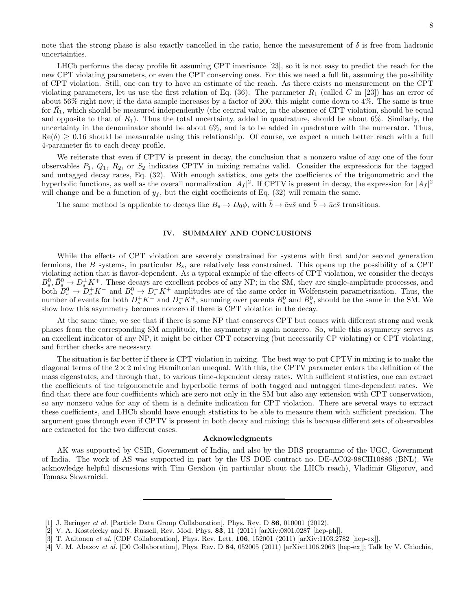note that the strong phase is also exactly cancelled in the ratio, hence the measurement of  $\delta$  is free from hadronic uncertainties.

LHCb performs the decay profile fit assuming CPT invariance [23], so it is not easy to predict the reach for the new CPT violating parameters, or even the CPT conserving ones. For this we need a full fit, assuming the possibility of CPT violation. Still, one can try to have an estimate of the reach. As there exists no measurement on the CPT violating parameters, let us use the first relation of Eq.  $(36)$ . The parameter  $R_1$  (called C in [23]) has an error of about 56% right now; if the data sample increases by a factor of 200, this might come down to 4%. The same is true for  $\bar{R_1}$ , which should be measured independently (the central value, in the absence of CPT violation, should be equal and opposite to that of  $R_1$ ). Thus the total uncertainty, added in quadrature, should be about 6%. Similarly, the uncertainty in the denominator should be about 6%, and is to be added in quadrature with the numerator. Thus,  $Re(\delta) > 0.16$  should be measurable using this relationship. Of course, we expect a much better reach with a full 4-parameter fit to each decay profile.

We reiterate that even if CPTV is present in decay, the conclusion that a nonzero value of any one of the four observables  $P_1$ ,  $Q_1$ ,  $R_2$ , or  $S_2$  indicates CPTV in mixing remains valid. Consider the expressions for the tagged and untagged decay rates, Eq. (32). With enough satistics, one gets the coefficients of the trigonometric and the hyperbolic functions, as well as the overall normalization  $|A_f|^2$ . If CPTV is present in decay, the expression for  $|A_f|^2$ will change and be a function of  $y_f$ , but the eight coefficients of Eq. (32) will remain the same.

The same method is applicable to decays like  $B_s \to D_0 \phi$ , with  $\bar{b} \to \bar{c} u \bar{s}$  and  $\bar{b} \to \bar{u} c \bar{s}$  transitions.

## IV. SUMMARY AND CONCLUSIONS

While the effects of CPT violation are severely constrained for systems with first and/or second generation fermions, the B systems, in particular  $B_s$ , are relatively less constrained. This opens up the possibility of a CPT violating action that is flavor-dependent. As a typical example of the effects of CPT violation, we consider the decays  $B_8^0, \overline{B_8^0} \rightarrow D_s^{\pm} K^{\mp}$ . These decays are excellent probes of any NP; in the SM, they are single-amplitude processes, and both  $B_s^0 \to D_s^+ K^-$  and  $B_s^0 \to D_s^- K^+$  amplitudes are of the same order in Wolfenstein parametrization. Thus, the number of events for both  $D_s^+K^-$  and  $D_s^-K^+$ , summing over parents  $B_s^0$  and  $\bar{B}_s^0$ , should be the same in the SM. We show how this asymmetry becomes nonzero if there is CPT violation in the decay.

At the same time, we see that if there is some NP that conserves CPT but comes with different strong and weak phases from the corresponding SM amplitude, the asymmetry is again nonzero. So, while this asymmetry serves as an excellent indicator of any NP, it might be either CPT conserving (but necessarily CP violating) or CPT violating, and further checks are necessary.

The situation is far better if there is CPT violation in mixing. The best way to put CPTV in mixing is to make the diagonal terms of the  $2 \times 2$  mixing Hamiltonian unequal. With this, the CPTV parameter enters the definition of the mass eigenstates, and through that, to various time-dependent decay rates. With sufficient statistics, one can extract the coefficients of the trigonometric and hyperbolic terms of both tagged and untagged time-dependent rates. We find that there are four coefficients which are zero not only in the SM but also any extension with CPT conservation, so any nonzero value for any of them is a definite indication for CPT violation. There are several ways to extract these coefficients, and LHCb should have enough statistics to be able to measure them with sufficient precision. The argument goes through even if CPTV is present in both decay and mixing; this is because different sets of observables are extracted for the two different cases.

#### Acknowledgments

AK was supported by CSIR, Government of India, and also by the DRS programme of the UGC, Government of India. The work of AS was supported in part by the US DOE contract no. DE-AC02-98CH10886 (BNL). We acknowledge helpful discussions with Tim Gershon (in particular about the LHCb reach), Vladimir Gligorov, and Tomasz Skwarnicki.

<sup>[1]</sup> J. Beringer *et al.* [Particle Data Group Collaboration], Phys. Rev. D **86**, 010001 (2012).

<sup>[2]</sup> V. A. Kostelecky and N. Russell, Rev. Mod. Phys. 83, 11 (2011) [arXiv:0801.0287 [hep-ph]].

<sup>[3]</sup> T. Aaltonen et al. [CDF Collaboration], Phys. Rev. Lett. 106, 152001 (2011) [arXiv:1103.2782 [hep-ex]].

<sup>[4]</sup> V. M. Abazov et al. [D0 Collaboration], Phys. Rev. D 84, 052005 (2011) [arXiv:1106.2063 [hep-ex]]; Talk by V. Chiochia,